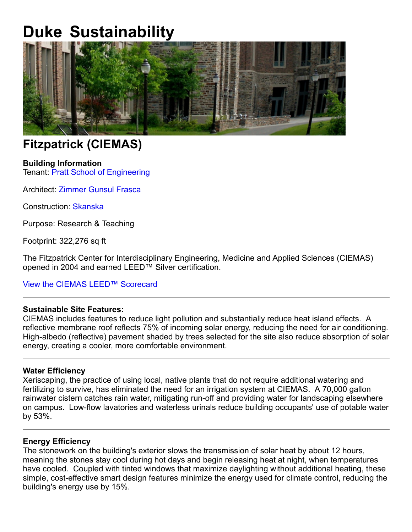# **Duke Sustainability**



# **Fitzpatrick (CIEMAS)**

## **Building Information**

Tenant: Pratt School of Engineering

Architect: Zimmer Gunsul Frasca

Construction: Skanska

Purpose: Research & Teaching

Footprint: 322,276 sq ft

The Fitzpatrick Center for Interdisciplinary Engineering, Medicine and Applied Sciences (CIEMAS) opened in 2004 and earned LEED™ Silver certification.

### View the CIEMAS LEED™ Scorecard

### **Sustainable Site Features:**

CIEMAS includes features to reduce light pollution and substantially reduce heat island effects. A reflective membrane roof reflects 75% of incoming solar energy, reducing the need for air conditioning. High-albedo (reflective) pavement shaded by trees selected for the site also reduce absorption of solar energy, creating a cooler, more comfortable environment.

### **Water Efficiency**

Xeriscaping, the practice of using local, native plants that do not require additional watering and fertilizing to survive, has eliminated the need for an irrigation system at CIEMAS. A 70,000 gallon rainwater cistern catches rain water, mitigating run-off and providing water for landscaping elsewhere on campus. Low-flow lavatories and waterless urinals reduce building occupants' use of potable water by 53%.

#### **Energy Efficiency**

The stonework on the building's exterior slows the transmission of solar heat by about 12 hours, meaning the stones stay cool during hot days and begin releasing heat at night, when temperatures have cooled. Coupled with tinted windows that maximize daylighting without additional heating, these simple, cost-effective smart design features minimize the energy used for climate control, reducing the building's energy use by 15%.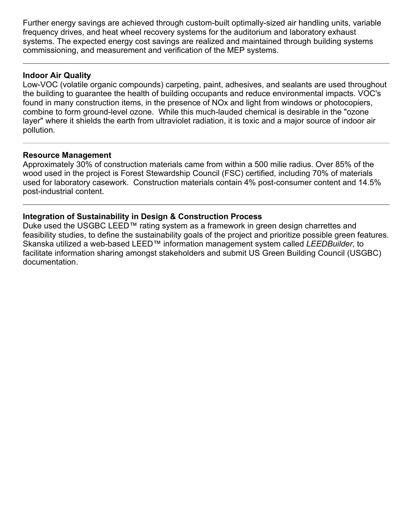Further energy savings are achieved through custom-built optimally-sized air handling units, variable frequency drives, and heat wheel recovery systems for the auditorium and laboratory exhaust systems. The expected energy cost savings are realized and maintained through building systems commissioning, and measurement and verification of the MEP systems.

### **Indoor Air Quality**

Low-VOC (volatile organic compounds) carpeting, paint, adhesives, and sealants are used throughout the building to guarantee the health of building occupants and reduce environmental impacts. VOC's found in many construction items, in the presence of NOx and light from windows or photocopiers, combine to form ground-level ozone. While this much-lauded chemical is desirable in the "ozone" layer" where it shields the earth from ultraviolet radiation, it is toxic and a major source of indoor air pollution.

#### **Resource Management**

Approximately 30% of construction materials came from within a 500 milie radius. Over 85% of the wood used in the project is Forest Stewardship Council (FSC) certified, including 70% of materials used for laboratory casework. Construction materials contain 4% post-consumer content and 14.5% post-industrial content.

### **Integration of Sustainability in Design & Construction Process**

Duke used the USGBC LEED™ rating system as a framework in green design charrettes and feasibility studies, to define the sustainability goals of the project and prioritize possible green features. Skanska utilized a web-based LEED™ information management system called *LEEDBuilder*, to facilitate information sharing amongst stakeholders and submit US Green Building Council (USGBC) documentation.